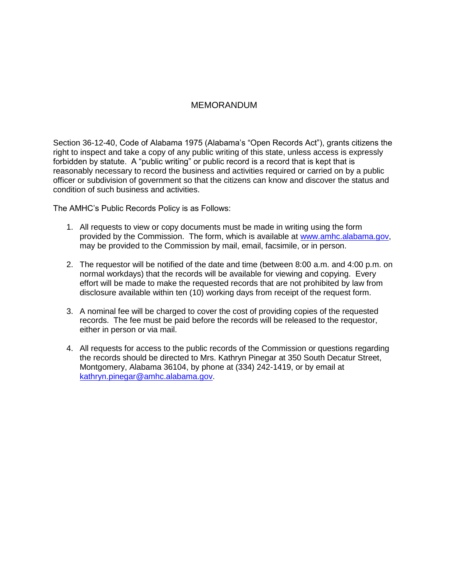## MEMORANDUM

Section 36-12-40, Code of Alabama 1975 (Alabama's "Open Records Act"), grants citizens the right to inspect and take a copy of any public writing of this state, unless access is expressly forbidden by statute. A "public writing" or public record is a record that is kept that is reasonably necessary to record the business and activities required or carried on by a public officer or subdivision of government so that the citizens can know and discover the status and condition of such business and activities.

The AMHC's Public Records Policy is as Follows:

- 1. All requests to view or copy documents must be made in writing using the form provided by the Commission. The form, which is available at [www.amhc.alabama.gov,](http://www.amhc.alabama.gov/) may be provided to the Commission by mail, email, facsimile, or in person.
- 2. The requestor will be notified of the date and time (between 8:00 a.m. and 4:00 p.m. on normal workdays) that the records will be available for viewing and copying. Every effort will be made to make the requested records that are not prohibited by law from disclosure available within ten (10) working days from receipt of the request form.
- 3. A nominal fee will be charged to cover the cost of providing copies of the requested records. The fee must be paid before the records will be released to the requestor, either in person or via mail.
- 4. All requests for access to the public records of the Commission or questions regarding the records should be directed to Mrs. Kathryn Pinegar at 350 South Decatur Street, Montgomery, Alabama 36104, by phone at (334) 242-1419, or by email at [kathryn.pinegar@amhc.alabama.gov.](mailto:mary.davis@amhc.alabama.gov)